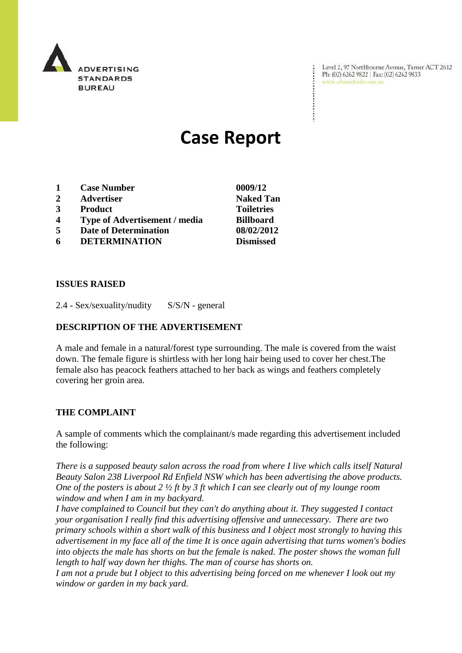

Level 2, 97 Northbourne Avenue, Turner ACT 2612 Ph: (02) 6262 9822 | Fax: (02) 6262 9833 www.adstandards.com.au

 $\ddot{\cdot}$ 

# **Case Report**

- **1 Case Number 0009/12**
- **2 Advertiser Naked Tan**
- **3 Product Toiletries**
- **4 Type of Advertisement / media Billboard**
- **5 Date of Determination 08/02/2012**
- **6 DETERMINATION Dismissed**

**ISSUES RAISED**

2.4 - Sex/sexuality/nudity S/S/N - general

#### **DESCRIPTION OF THE ADVERTISEMENT**

A male and female in a natural/forest type surrounding. The male is covered from the waist down. The female figure is shirtless with her long hair being used to cover her chest.The female also has peacock feathers attached to her back as wings and feathers completely covering her groin area.

#### **THE COMPLAINT**

A sample of comments which the complainant/s made regarding this advertisement included the following:

*There is a supposed beauty salon across the road from where I live which calls itself Natural Beauty Salon 238 Liverpool Rd Enfield NSW which has been advertising the above products. One of the posters is about 2 ½ ft by 3 ft which I can see clearly out of my lounge room window and when I am in my backyard.*

*I have complained to Council but they can't do anything about it. They suggested I contact your organisation I really find this advertising offensive and unnecessary. There are two primary schools within a short walk of this business and I object most strongly to having this advertisement in my face all of the time It is once again advertising that turns women's bodies into objects the male has shorts on but the female is naked. The poster shows the woman full length to half way down her thighs. The man of course has shorts on.*

*I am not a prude but I object to this advertising being forced on me whenever I look out my window or garden in my back yard.*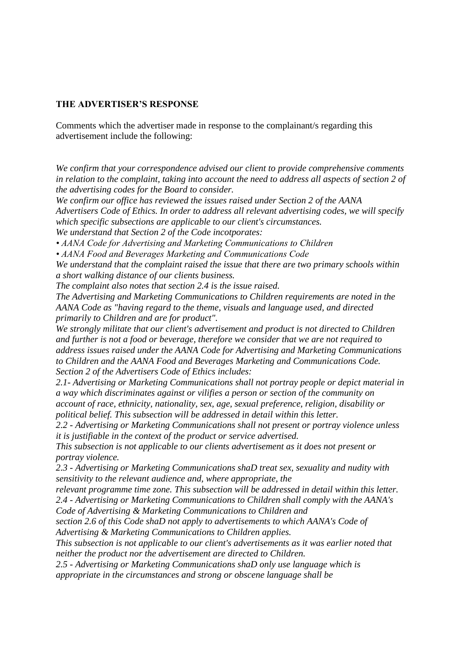### **THE ADVERTISER'S RESPONSE**

Comments which the advertiser made in response to the complainant/s regarding this advertisement include the following:

*We confirm that your correspondence advised our client to provide comprehensive comments*  in relation to the complaint, taking into account the need to address all aspects of section 2 of *the advertising codes for the Board to consider.*

*We confirm our office has reviewed the issues raised under Section 2 of the AANA Advertisers Code of Ethics. In order to address all relevant advertising codes, we will specify which specific subsections are applicable to our client's circumstances.*

*We understand that Section 2 of the Code incotporates:*

*• AANA Code for Advertising and Marketing Communications to Children*

*• AANA Food and Beverages Marketing and Communications Code*

*We understand that the complaint raised the issue that there are two primary schools within a short walking distance of our clients business.*

*The complaint also notes that section 2.4 is the issue raised.*

*The Advertising and Marketing Communications to Children requirements are noted in the AANA Code as "having regard to the theme, visuals and language used, and directed primarily to Children and are for product".*

*We strongly militate that our client's advertisement and product is not directed to Children and further is not a food or beverage, therefore we consider that we are not required to address issues raised under the AANA Code for Advertising and Marketing Communications to Children and the AANA Food and Beverages Marketing and Communications Code. Section 2 of the Advertisers Code of Ethics includes:*

*2.1- Advertising or Marketing Communications shall not portray people or depict material in a way which discriminates against or vilifies a person or section of the community on account of race, ethnicity, nationality, sex, age, sexual preference, religion, disability or political belief. This subsection will be addressed in detail within this letter.*

*2.2 - Advertising or Marketing Communications shall not present or portray violence unless it is justifiable in the context of the product or service advertised.*

*This subsection is not applicable to our clients advertisement as it does not present or portray violence.*

*2.3 - Advertising or Marketing Communications shaD treat sex, sexuality and nudity with sensitivity to the relevant audience and, where appropriate, the*

*relevant programme time zone. This subsection will be addressed in detail within this letter. 2.4 - Advertising or Marketing Communications to Children shall comply with the AANA's Code of Advertising & Marketing Communications to Children and*

*section 2.6 of this Code shaD not apply to advertisements to which AANA's Code of Advertising & Marketing Communications to Children applies.*

*This subsection is not applicable to our client's advertisements as it was earlier noted that neither the product nor the advertisement are directed to Children.*

*2.5 - Advertising or Marketing Communications shaD only use language which is appropriate in the circumstances and strong or obscene language shall be*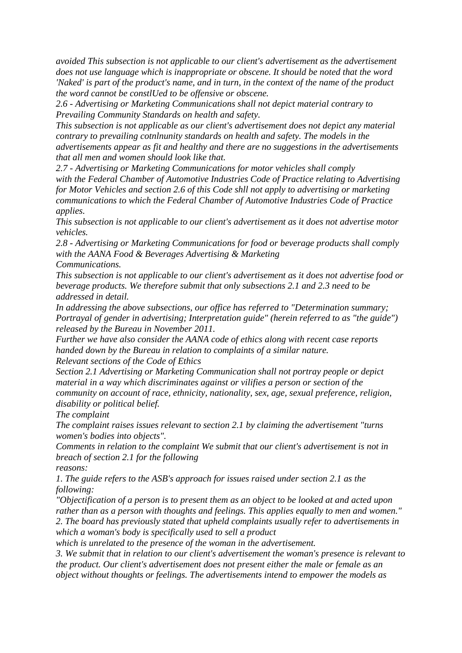*avoided This subsection is not applicable to our client's advertisement as the advertisement does not use language which is inappropriate or obscene. It should be noted that the word 'Naked' is part of the product's name, and in turn, in the context of the name of the product the word cannot be constlUed to be offensive or obscene.*

*2.6 - Advertising or Marketing Communications shall not depict material contrary to Prevailing Community Standards on health and safety.*

*This subsection is not applicable as our client's advertisement does not depict any material contrary to prevailing cotnlnunity standards on health and safety. The models in the advertisements appear as fit and healthy and there are no suggestions in the advertisements that all men and women should look like that.*

*2.7 - Advertising or Marketing Communications for motor vehicles shall comply with the Federal Chamber of Automotive Industries Code of Practice relating to Advertising for Motor Vehicles and section 2.6 of this Code shll not apply to advertising or marketing communications to which the Federal Chamber of Automotive Industries Code of Practice applies.*

*This subsection is not applicable to our client's advertisement as it does not advertise motor vehicles.*

*2.8 - Advertising or Marketing Communications for food or beverage products shall comply with the AANA Food & Beverages Advertising & Marketing Communications.*

*This subsection is not applicable to our client's advertisement as it does not advertise food or beverage products. We therefore submit that only subsections 2.1 and 2.3 need to be addressed in detail.*

*In addressing the above subsections, our office has referred to "Determination summary; Portrayal of gender in advertising; Interpretation guide" (herein referred to as "the guide") released by the Bureau in November 2011.*

*Further we have also consider the AANA code of ethics along with recent case reports handed down by the Bureau in relation to complaints of a similar nature. Relevant sections of the Code of Ethics*

*Section 2.1 Advertising or Marketing Communication shall not portray people or depict material in a way which discriminates against or vilifies a person or section of the community on account of race, ethnicity, nationality, sex, age, sexual preference, religion, disability or political belief.*

*The complaint*

*The complaint raises issues relevant to section 2.1 by claiming the advertisement "turns women's bodies into objects".*

*Comments in relation to the complaint We submit that our client's advertisement is not in breach of section 2.1 for the following*

*reasons:*

*1. The guide refers to the ASB's approach for issues raised under section 2.1 as the following:*

*"Objectification of a person is to present them as an object to be looked at and acted upon rather than as a person with thoughts and feelings. This applies equally to men and women." 2. The board has previously stated that upheld complaints usually refer to advertisements in which a woman's body is specifically used to sell a product*

*which is unrelated to the presence of the woman in the advertisement.*

*3. We submit that in relation to our client's advertisement the woman's presence is relevant to the product. Our client's advertisement does not present either the male or female as an object without thoughts or feelings. The advertisements intend to empower the models as*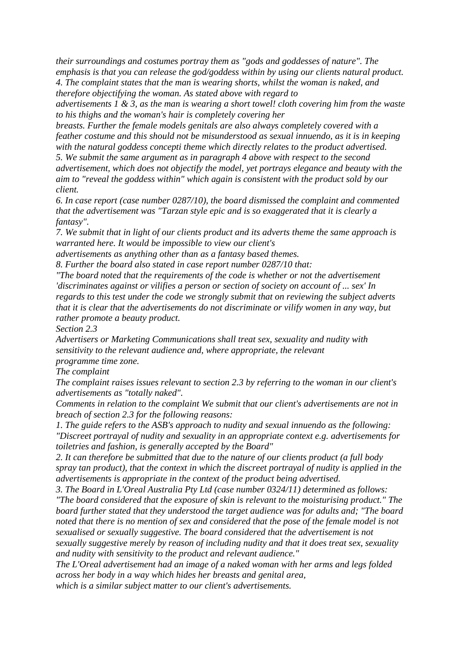*their surroundings and costumes portray them as "gods and goddesses of nature". The emphasis is that you can release the god/goddess within by using our clients natural product. 4. The complaint states that the man is wearing shorts, whilst the woman is naked, and therefore objectifying the woman. As stated above with regard to*

*advertisements 1 & 3, as the man is wearing a short towel! cloth covering him from the waste to his thighs and the woman's hair is completely covering her*

*breasts. Further the female models genitals are also always completely covered with a feather costume and this should not be misunderstood as sexual innuendo, as it is in keeping with the natural goddess concepti theme which directly relates to the product advertised.*

*5. We submit the same argument as in paragraph 4 above with respect to the second advertisement, which does not objectify the model, yet portrays elegance and beauty with the aim to "reveal the goddess within" which again is consistent with the product sold by our client.*

*6. In case report (case number 0287/10), the board dismissed the complaint and commented that the advertisement was "Tarzan style epic and is so exaggerated that it is clearly a fantasy".*

*7. We submit that in light of our clients product and its adverts theme the same approach is warranted here. It would be impossible to view our client's*

*advertisements as anything other than as a fantasy based themes.*

*8. Further the board also stated in case report number 0287/10 that:*

*"The board noted that the requirements of the code is whether or not the advertisement 'discriminates against or vilifies a person or section of society on account of ... sex' In regards to this test under the code we strongly submit that on reviewing the subject adverts that it is clear that the advertisements do not discriminate or vilify women in any way, but rather promote a beauty product.*

*Section 2.3*

*Advertisers or Marketing Communications shall treat sex, sexuality and nudity with sensitivity to the relevant audience and, where appropriate, the relevant programme time zone.*

*The complaint*

*The complaint raises issues relevant to section 2.3 by referring to the woman in our client's advertisements as "totally naked".*

*Comments in relation to the complaint We submit that our client's advertisements are not in breach of section 2.3 for the following reasons:*

*1. The guide refers to the ASB's approach to nudity and sexual innuendo as the following:*

*"Discreet portrayal of nudity and sexuality in an appropriate context e.g. advertisements for toiletries and fashion, is generally accepted by the Board"*

*2. It can therefore be submitted that due to the nature of our clients product (a full body spray tan product), that the context in which the discreet portrayal of nudity is applied in the advertisements is appropriate in the context of the product being advertised.*

*3. The Board in L'Oreal Australia Pty Ltd (case number 0324/11) determined as follows: "The board considered that the exposure of skin is relevant to the moisturising product." The board further stated that they understood the target audience was for adults and; "The board noted that there is no mention of sex and considered that the pose of the female model is not sexualised or sexually suggestive. The board considered that the advertisement is not sexually suggestive merely by reason of including nudity and that it does treat sex, sexuality and nudity with sensitivity to the product and relevant audience."*

*The L'Oreal advertisement had an image of a naked woman with her arms and legs folded across her body in a way which hides her breasts and genital area,*

*which is a similar subject matter to our client's advertisements.*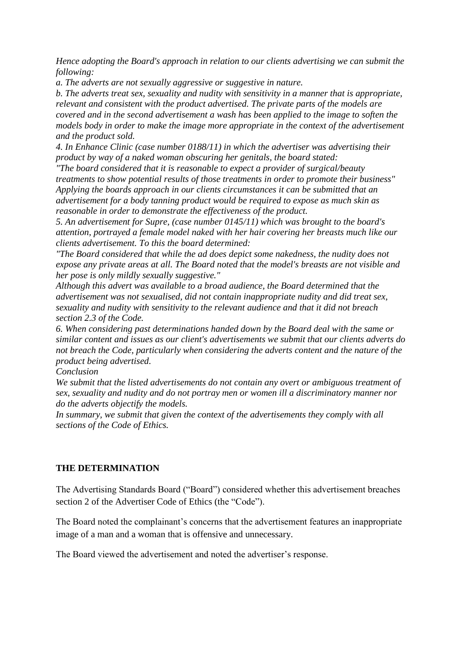*Hence adopting the Board's approach in relation to our clients advertising we can submit the following:*

*a. The adverts are not sexually aggressive or suggestive in nature.*

*b. The adverts treat sex, sexuality and nudity with sensitivity in a manner that is appropriate, relevant and consistent with the product advertised. The private parts of the models are covered and in the second advertisement a wash has been applied to the image to soften the models body in order to make the image more appropriate in the context of the advertisement and the product sold.*

*4. In Enhance Clinic (case number 0188/11) in which the advertiser was advertising their product by way of a naked woman obscuring her genitals, the board stated:*

*"The board considered that it is reasonable to expect a provider of surgical/beauty treatments to show potential results of those treatments in order to promote their business" Applying the boards approach in our clients circumstances it can be submitted that an advertisement for a body tanning product would be required to expose as much skin as reasonable in order to demonstrate the effectiveness of the product.*

*5. An advertisement for Supre, (case number 0145/11) which was brought to the board's attention, portrayed a female model naked with her hair covering her breasts much like our clients advertisement. To this the board determined:*

*"The Board considered that while the ad does depict some nakedness, the nudity does not expose any private areas at all. The Board noted that the model's breasts are not visible and her pose is only mildly sexually suggestive."*

*Although this advert was available to a broad audience, the Board determined that the advertisement was not sexualised, did not contain inappropriate nudity and did treat sex, sexuality and nudity with sensitivity to the relevant audience and that it did not breach section 2.3 of the Code.*

*6. When considering past determinations handed down by the Board deal with the same or similar content and issues as our client's advertisements we submit that our clients adverts do not breach the Code, particularly when considering the adverts content and the nature of the product being advertised.*

*Conclusion*

*We submit that the listed advertisements do not contain any overt or ambiguous treatment of sex, sexuality and nudity and do not portray men or women ill a discriminatory manner nor do the adverts objectify the models.*

*In summary, we submit that given the context of the advertisements they comply with all sections of the Code of Ethics.*

## **THE DETERMINATION**

The Advertising Standards Board ("Board") considered whether this advertisement breaches section 2 of the Advertiser Code of Ethics (the "Code").

The Board noted the complainant's concerns that the advertisement features an inappropriate image of a man and a woman that is offensive and unnecessary.

The Board viewed the advertisement and noted the advertiser's response.